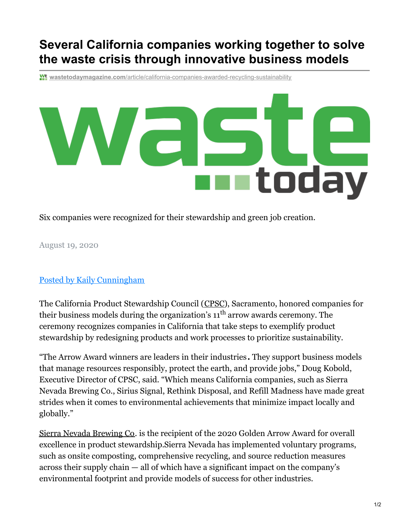## **Several California companies working together to solve the waste crisis through innovative business models**

**wastetodaymagazine.com**[/article/california-companies-awarded-recycling-sustainability](https://www.wastetodaymagazine.com/article/california-companies-awarded-recycling-sustainability/)



Six companies were recognized for their stewardship and green job creation.

August 19, 2020

## Posted by Kaily [Cunningham](https://www.wastetodaymagazine.com/author/14063)

The California Product Stewardship Council ([CPSC](https://www.calpsc.org/)), Sacramento, honored companies for their business models during the organization's  $11^{\text{th}}$  arrow awards ceremony. The ceremony recognizes companies in California that take steps to exemplify product stewardship by redesigning products and work processes to prioritize sustainability.

"The Arrow Award winners are leaders in their industries**.** They support business models that manage resources responsibly, protect the earth, and provide jobs," Doug Kobold, Executive Director of CPSC, said. "Which means California companies, such as Sierra Nevada Brewing Co., Sirius Signal, Rethink Disposal, and Refill Madness have made great strides when it comes to environmental achievements that minimize impact locally and globally."

Sierra Nevada [Brewing](https://sierranevada.com/) Co. is the recipient of the 2020 Golden Arrow Award for overall excellence in product stewardship.Sierra Nevada has implemented voluntary programs, such as onsite composting, comprehensive recycling, and source reduction measures across their supply chain — all of which have a significant impact on the company's environmental footprint and provide models of success for other industries.